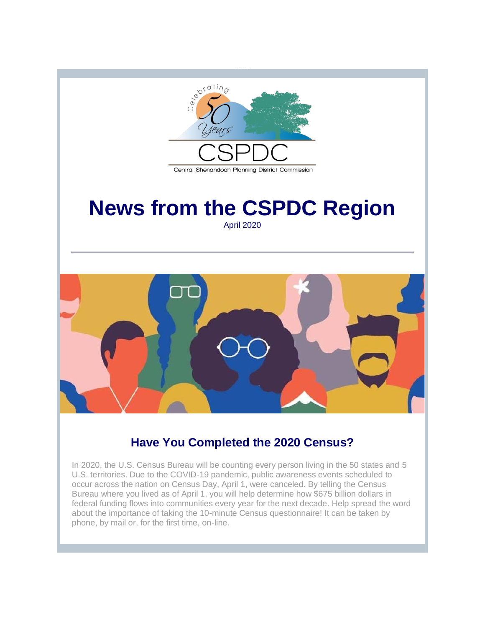

## **Have You Completed the 2020 Census?**

In 2020, the U.S. Census Bureau will be counting every person living in the 50 states and 5 U.S. territories. Due to the COVID-19 pandemic, public awareness events scheduled to occur across the nation on Census Day, April 1, were canceled. By telling the Census Bureau where you lived as of April 1, you will help determine how \$675 billion dollars in federal funding flows into communities every year for the next decade. Help spread the word about the importance of taking the 10-minute Census questionnaire! It can be taken by phone, by mail or, for the first time, on-line.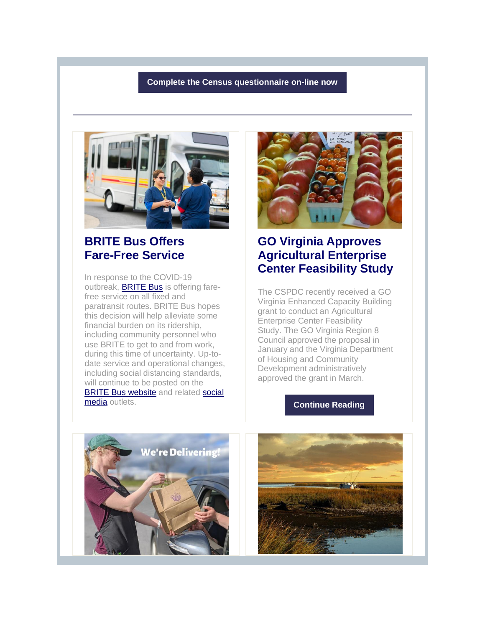### **[Complete the Census questionnaire on-line now](http://r20.rs6.net/tn.jsp?f=001u14CVxR_WLkssbrqJ_StlxTYSge3Yr8Fj0kS_kFV97j2PVKzTYTddfxHL8UOGRAdAEl7C6MvFA2JZBrX88j17KrNcBbMD8Jh4fPljUCe8N0Ow_jwDMYDaBNhIi5waIPZ-um59O7xSCwIX7imM5MLWw==&c=wObtfo-6LOySwzeZvLjqhdQ0pdj-4GehPVIjC9P4xpVL8-HkaC3YKQ==&ch=qpj58eOfag4kslFFe5kuyWKpD-ggM45hLHG6lBTMM6IhMhl4k0rpAQ==)**



## **BRITE Bus Offers Fare-Free Service**

In response to the COVID-19 outbreak, [BRITE Bus](http://r20.rs6.net/tn.jsp?f=001u14CVxR_WLkssbrqJ_StlxTYSge3Yr8Fj0kS_kFV97j2PVKzTYTddRCqi2EifmiKRXFiFBkLQ3rh__4L_O--WOnnlJeCjnh5kEwf0Gg447sBZas-utC3Vl083hZza5QHg3jvB9fc_cO7cK7yHHQB1Q==&c=wObtfo-6LOySwzeZvLjqhdQ0pdj-4GehPVIjC9P4xpVL8-HkaC3YKQ==&ch=qpj58eOfag4kslFFe5kuyWKpD-ggM45hLHG6lBTMM6IhMhl4k0rpAQ==) is offering farefree service on all fixed and paratransit routes. BRITE Bus hopes this decision will help alleviate some financial burden on its ridership, including community personnel who use BRITE to get to and from work, during this time of uncertainty. Up-todate service and operational changes, including social distancing standards, will continue to be posted on the [BRITE Bus website](http://r20.rs6.net/tn.jsp?f=001u14CVxR_WLkssbrqJ_StlxTYSge3Yr8Fj0kS_kFV97j2PVKzTYTddRCqi2EifmiKRXFiFBkLQ3rh__4L_O--WOnnlJeCjnh5kEwf0Gg447sBZas-utC3Vl083hZza5QHg3jvB9fc_cO7cK7yHHQB1Q==&c=wObtfo-6LOySwzeZvLjqhdQ0pdj-4GehPVIjC9P4xpVL8-HkaC3YKQ==&ch=qpj58eOfag4kslFFe5kuyWKpD-ggM45hLHG6lBTMM6IhMhl4k0rpAQ==) and related [social](http://r20.rs6.net/tn.jsp?f=001u14CVxR_WLkssbrqJ_StlxTYSge3Yr8Fj0kS_kFV97j2PVKzTYTddeWnw1jmacgFXbnQqGijggKb__ee0DDXx9TC8BRVWjDLICBBGHzz4KU9coWbCZEsEmxpRIXejTyhKy3sUKcrIi9TfVEahkuqWj0vkn7maYBT&c=wObtfo-6LOySwzeZvLjqhdQ0pdj-4GehPVIjC9P4xpVL8-HkaC3YKQ==&ch=qpj58eOfag4kslFFe5kuyWKpD-ggM45hLHG6lBTMM6IhMhl4k0rpAQ==)  [media](http://r20.rs6.net/tn.jsp?f=001u14CVxR_WLkssbrqJ_StlxTYSge3Yr8Fj0kS_kFV97j2PVKzTYTddeWnw1jmacgFXbnQqGijggKb__ee0DDXx9TC8BRVWjDLICBBGHzz4KU9coWbCZEsEmxpRIXejTyhKy3sUKcrIi9TfVEahkuqWj0vkn7maYBT&c=wObtfo-6LOySwzeZvLjqhdQ0pdj-4GehPVIjC9P4xpVL8-HkaC3YKQ==&ch=qpj58eOfag4kslFFe5kuyWKpD-ggM45hLHG6lBTMM6IhMhl4k0rpAQ==) outlets.



## **GO Virginia Approves Agricultural Enterprise Center Feasibility Study**

The CSPDC recently received a GO Virginia Enhanced Capacity Building grant to conduct an Agricultural Enterprise Center Feasibility Study. The GO Virginia Region 8 Council approved the proposal in January and the Virginia Department of Housing and Community Development administratively approved the grant in March.

### **[Continue Reading](http://r20.rs6.net/tn.jsp?f=001u14CVxR_WLkssbrqJ_StlxTYSge3Yr8Fj0kS_kFV97j2PVKzTYTddfxHL8UOGRAdoMOldZa5UUa1XE0gaqeHomeFvJp1sVJfd0pdt49R3YgpO2OFqBx176NFT-hM1zgQotkEpH0FJwOV1Hs8xrez9g1bksFOprtmMPXr2JFPZ5d-xJ3EIcmahdFdiBHDOVGpaTIY4iEecYtu2lC8Ejf1kEj5zshMelb8u9ytclmXwU0VUAKYSlJXDJQfT7bq3GMUGm1opqUqeEs=&c=wObtfo-6LOySwzeZvLjqhdQ0pdj-4GehPVIjC9P4xpVL8-HkaC3YKQ==&ch=qpj58eOfag4kslFFe5kuyWKpD-ggM45hLHG6lBTMM6IhMhl4k0rpAQ==)**



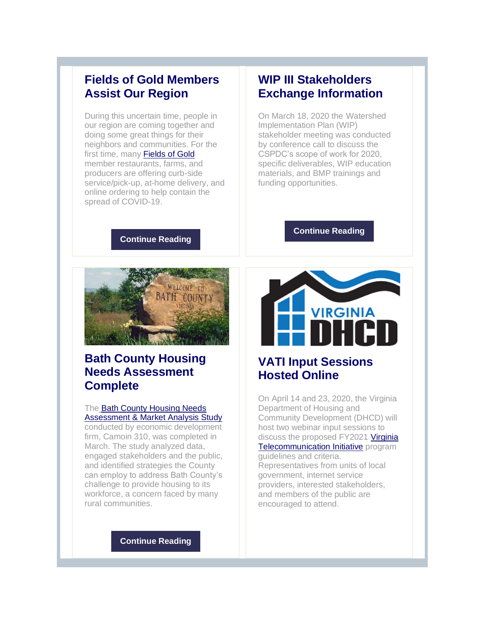### **Fields of Gold Members Assist Our Region**

During this uncertain time, people in our region are coming together and doing some great things for their neighbors and communities. For the first time, many [Fields of Gold](http://r20.rs6.net/tn.jsp?f=001u14CVxR_WLkssbrqJ_StlxTYSge3Yr8Fj0kS_kFV97j2PVKzTYTddfxHL8UOGRAd4-mbsTC5x3GlKxn_oq4AgD6vrm7T09bXpNPGrW07bbZPSysd88vttTCAkQshpyjaKoBLArQNp_7isBk8i_Zi6Q==&c=wObtfo-6LOySwzeZvLjqhdQ0pdj-4GehPVIjC9P4xpVL8-HkaC3YKQ==&ch=qpj58eOfag4kslFFe5kuyWKpD-ggM45hLHG6lBTMM6IhMhl4k0rpAQ==) member restaurants, farms, and producers are offering curb-side service/pick-up, at-home delivery, and online ordering to help contain the spread of COVID-19.

## **WIP III Stakeholders Exchange Information**

On March 18, 2020 the Watershed Implementation Plan (WIP) stakeholder meeting was conducted by conference call to discuss the CSPDC's scope of work for 2020, specific deliverables, WIP education materials, and BMP trainings and funding opportunities.

### **[Continue Reading](http://r20.rs6.net/tn.jsp?f=001u14CVxR_WLkssbrqJ_StlxTYSge3Yr8Fj0kS_kFV97j2PVKzTYTddfxHL8UOGRAdpk-980VaNTCOHx6ShFGYkckLixabjTuLxkx_QNCUZQKzS-AQlWH_Oz81hf8PD1uy7gcg-55NTp7gp0D8lDOblt58D6rkysr8QlSGTEAku1d3665GtPLqa9X2Pl-JRexxwVCFVibi3DUAVWMp4UvlSofV5imscVYn&c=wObtfo-6LOySwzeZvLjqhdQ0pdj-4GehPVIjC9P4xpVL8-HkaC3YKQ==&ch=qpj58eOfag4kslFFe5kuyWKpD-ggM45hLHG6lBTMM6IhMhl4k0rpAQ==)**

**[Continue Reading](http://r20.rs6.net/tn.jsp?f=001u14CVxR_WLkssbrqJ_StlxTYSge3Yr8Fj0kS_kFV97j2PVKzTYTddfxHL8UOGRAdsvvAfrTmP9cXntaW6QCZQ9IDaWL-srNH2wthL9RP1j2fGJVVyjXRNYbxyVS76OsIyGVIaERXrgPSR78_iY9mSP7A1dXh-FOftvhUhdWzDLMSkVAiqHh5dHRMo5oOjNq0x609FCsdO5O28j4H6wvUqngJE5QaUv10&c=wObtfo-6LOySwzeZvLjqhdQ0pdj-4GehPVIjC9P4xpVL8-HkaC3YKQ==&ch=qpj58eOfag4kslFFe5kuyWKpD-ggM45hLHG6lBTMM6IhMhl4k0rpAQ==)**



# **Bath County Housing Needs Assessment Complete**

### The [Bath County Housing Needs](http://r20.rs6.net/tn.jsp?f=001u14CVxR_WLkssbrqJ_StlxTYSge3Yr8Fj0kS_kFV97j2PVKzTYTddfxHL8UOGRAdNPsRy7yISysyuQx-jhgipVtPspLk11WWIyhGMXZ9j2Tpx12ApaHxAz0AslxfeqMltQZxRTgSk6lAtiDu-5shdACjpQdWnUD5O5T0x9U8Qhu5Vq258kRswQqhKlCB9R3RT15RHd_6R69YAQj3oZZs9lEREgZWPk_RB30sqQ3x0FRkTa7WilvdgTk2YI0CoOaxH5uejT9y61ul8GeWkEtxnYSvWqgvUb5MI8QEVO8tQwc76-TCqVlufkWmhrnQf_WH&c=wObtfo-6LOySwzeZvLjqhdQ0pdj-4GehPVIjC9P4xpVL8-HkaC3YKQ==&ch=qpj58eOfag4kslFFe5kuyWKpD-ggM45hLHG6lBTMM6IhMhl4k0rpAQ==)  [Assessment & Market Analysis Study](http://r20.rs6.net/tn.jsp?f=001u14CVxR_WLkssbrqJ_StlxTYSge3Yr8Fj0kS_kFV97j2PVKzTYTddfxHL8UOGRAdNPsRy7yISysyuQx-jhgipVtPspLk11WWIyhGMXZ9j2Tpx12ApaHxAz0AslxfeqMltQZxRTgSk6lAtiDu-5shdACjpQdWnUD5O5T0x9U8Qhu5Vq258kRswQqhKlCB9R3RT15RHd_6R69YAQj3oZZs9lEREgZWPk_RB30sqQ3x0FRkTa7WilvdgTk2YI0CoOaxH5uejT9y61ul8GeWkEtxnYSvWqgvUb5MI8QEVO8tQwc76-TCqVlufkWmhrnQf_WH&c=wObtfo-6LOySwzeZvLjqhdQ0pdj-4GehPVIjC9P4xpVL8-HkaC3YKQ==&ch=qpj58eOfag4kslFFe5kuyWKpD-ggM45hLHG6lBTMM6IhMhl4k0rpAQ==)

conducted by economic development firm, Camoin 310, was completed in March. The study analyzed data, engaged stakeholders and the public, and identified strategies the County can employ to address Bath County's challenge to provide housing to its workforce, a concern faced by many rural communities.

# **VIRGINIA**

# **VATI Input Sessions Hosted Online**

On April 14 and 23, 2020, the Virginia Department of Housing and Community Development (DHCD) will host two webinar input sessions to discuss the proposed FY2021 [Virginia](http://r20.rs6.net/tn.jsp?f=001u14CVxR_WLkssbrqJ_StlxTYSge3Yr8Fj0kS_kFV97j2PVKzTYTddfxHL8UOGRAdJR8Pfvy4iRzLtS3icyz5qZWUvGXEkDaT0c-N4_q-M5wkCjZpqKT6TY-W-UqUqiPzTyhTtCrUdModR9BPuNHEP6ETnXe60GyuXREpkuoBe0o=&c=wObtfo-6LOySwzeZvLjqhdQ0pdj-4GehPVIjC9P4xpVL8-HkaC3YKQ==&ch=qpj58eOfag4kslFFe5kuyWKpD-ggM45hLHG6lBTMM6IhMhl4k0rpAQ==)  [Telecommunication Initiative](http://r20.rs6.net/tn.jsp?f=001u14CVxR_WLkssbrqJ_StlxTYSge3Yr8Fj0kS_kFV97j2PVKzTYTddfxHL8UOGRAdJR8Pfvy4iRzLtS3icyz5qZWUvGXEkDaT0c-N4_q-M5wkCjZpqKT6TY-W-UqUqiPzTyhTtCrUdModR9BPuNHEP6ETnXe60GyuXREpkuoBe0o=&c=wObtfo-6LOySwzeZvLjqhdQ0pdj-4GehPVIjC9P4xpVL8-HkaC3YKQ==&ch=qpj58eOfag4kslFFe5kuyWKpD-ggM45hLHG6lBTMM6IhMhl4k0rpAQ==) program guidelines and criteria. Representatives from units of local government, internet service providers, interested stakeholders, and members of the public are encouraged to attend.

**[Continue Reading](http://r20.rs6.net/tn.jsp?f=001u14CVxR_WLkssbrqJ_StlxTYSge3Yr8Fj0kS_kFV97j2PVKzTYTddfxHL8UOGRAdn8esz6IdBnDsK1GtSxchEhfgBCzjYWqAYMN6IZ5jQc_NpXNOJNm0WIreooY_dbwZzJoANA03McKK2YUJZoxVaL4oiW_6x2iAT3aoZ8aGPxJDQBg2j00If52o1Bf0EnFm4Ik_42sgQE4K9WjOGJilITsuuU1J1OunPaWb12RIXTc=&c=wObtfo-6LOySwzeZvLjqhdQ0pdj-4GehPVIjC9P4xpVL8-HkaC3YKQ==&ch=qpj58eOfag4kslFFe5kuyWKpD-ggM45hLHG6lBTMM6IhMhl4k0rpAQ==)**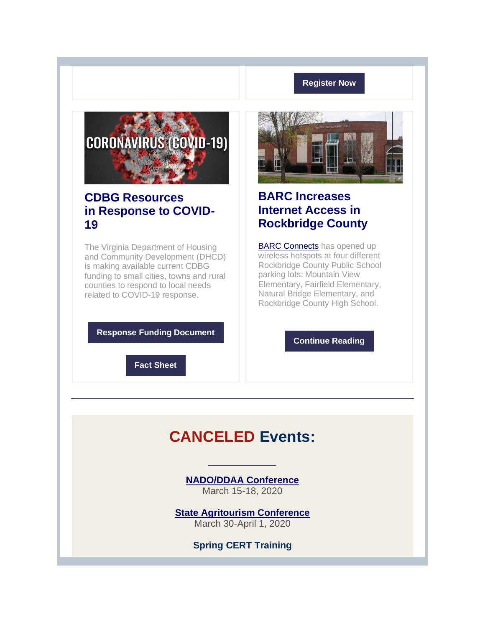### **[Register Now](http://r20.rs6.net/tn.jsp?f=001u14CVxR_WLkssbrqJ_StlxTYSge3Yr8Fj0kS_kFV97j2PVKzTYTddfxHL8UOGRAditq6YnN2EOpvdFqOlN1ussyp_2BNZmHhdaLXsHAjwrYusqkqiXMQ7NWcepojOSp5LV3keeO2O-1f8ea44VB6VH8w5UhoNUbEpHKtmu2_Jx4wuUrwcc-NcPEB4NkURJCSdYuj7O00fSa9YxlznW0yBg==&c=wObtfo-6LOySwzeZvLjqhdQ0pdj-4GehPVIjC9P4xpVL8-HkaC3YKQ==&ch=qpj58eOfag4kslFFe5kuyWKpD-ggM45hLHG6lBTMM6IhMhl4k0rpAQ==)**



### **CDBG Resources in Response to COVID-19**

The Virginia Department of Housing and Community Development (DHCD) is making available current CDBG funding to small cities, towns and rural counties to respond to local needs related to COVID-19 response.

**[Response Funding Document](http://r20.rs6.net/tn.jsp?f=001u14CVxR_WLkssbrqJ_StlxTYSge3Yr8Fj0kS_kFV97j2PVKzTYTddfxHL8UOGRAdrcGyBsfQhm0JzEjTea6q0TTntNYK9veZRV5cMYGjxq36Sg-aKOjvZTn1Er4D9sAlWTZHQD1HeWh88Vws2_PW3sRmhjUWGY0eGNg8qC9BiiLVzqsRcF87IA2o0vdlHNHnl6yWK2TEzJDGR9cdgDWvUKt5UQnJ-YgaC2pQ4i3Eg_K9HImnZhcamg==&c=wObtfo-6LOySwzeZvLjqhdQ0pdj-4GehPVIjC9P4xpVL8-HkaC3YKQ==&ch=qpj58eOfag4kslFFe5kuyWKpD-ggM45hLHG6lBTMM6IhMhl4k0rpAQ==)**



## **BARC Increases Internet Access in Rockbridge County**

**[BARC Connects](http://r20.rs6.net/tn.jsp?f=001u14CVxR_WLkssbrqJ_StlxTYSge3Yr8Fj0kS_kFV97j2PVKzTYTddfxHL8UOGRAd-A1Mpj3d1-vpQt_wj7VLnk3IDZBTxJmLJFPGDoQ-w46JTKosQoyBGgeyqqse0WGlX6kUPIbVMIM48VoclJWYoQ==&c=wObtfo-6LOySwzeZvLjqhdQ0pdj-4GehPVIjC9P4xpVL8-HkaC3YKQ==&ch=qpj58eOfag4kslFFe5kuyWKpD-ggM45hLHG6lBTMM6IhMhl4k0rpAQ==) has opened up** wireless hotspots at four different Rockbridge County Public School parking lots: Mountain View Elementary, Fairfield Elementary, Natural Bridge Elementary, and Rockbridge County High School.

**[Continue Reading](http://r20.rs6.net/tn.jsp?f=001u14CVxR_WLkssbrqJ_StlxTYSge3Yr8Fj0kS_kFV97j2PVKzTYTddfxHL8UOGRAdSRWI8FwKmHMvSumH7VTQKbVRNucg_hKTikpVEPIKwWnWi8bPPJNi8Ak0pfXr7VdGx8tsHT-WCE0cTZdVbGTckjD7dknM-nnt3Rj-SArA1pJwcuOKpUeT0enyjIUWV1qv0ex8Oxp6MZ1Fl4GDjhK9Ay3AclCcwDhZlPoXLnrm7Jc=&c=wObtfo-6LOySwzeZvLjqhdQ0pdj-4GehPVIjC9P4xpVL8-HkaC3YKQ==&ch=qpj58eOfag4kslFFe5kuyWKpD-ggM45hLHG6lBTMM6IhMhl4k0rpAQ==)**

**[Fact Sheet](http://r20.rs6.net/tn.jsp?f=001u14CVxR_WLkssbrqJ_StlxTYSge3Yr8Fj0kS_kFV97j2PVKzTYTddfxHL8UOGRAdKazfsKvhLvJOb92LyeX2EbI-S_q0Bc84U80PpFT2D94wq4TOu1NHKDFKA0kiTJSmGnv6SfD4cM5F_34qgcKuduVjaO3hi7Lx9cLv-LsgllbPU-Zj9RKRxRpbDXnkh6gctymTBU5rTqs8E6Gbai6Ppqm7DPKpZOV6nWB375iebeiP_XiUkqWR8A==&c=wObtfo-6LOySwzeZvLjqhdQ0pdj-4GehPVIjC9P4xpVL8-HkaC3YKQ==&ch=qpj58eOfag4kslFFe5kuyWKpD-ggM45hLHG6lBTMM6IhMhl4k0rpAQ==)**

# **CANCELED Events:**

**[NADO/DDAA Conference](http://r20.rs6.net/tn.jsp?f=001u14CVxR_WLkssbrqJ_StlxTYSge3Yr8Fj0kS_kFV97j2PVKzTYTddfxHL8UOGRAdSzCytb9HwukDSWn5amnRc3y86kqP2JA-1d8C8Hqd6Z87AGNhRPekhBminRhZlw56YKklQMXOaYOjeInq5-nHdB9l6wzty9FfY7rRjwXpGO_h0N46USCez6UyhZp1xH2dDrEi6cblyMs=&c=wObtfo-6LOySwzeZvLjqhdQ0pdj-4GehPVIjC9P4xpVL8-HkaC3YKQ==&ch=qpj58eOfag4kslFFe5kuyWKpD-ggM45hLHG6lBTMM6IhMhl4k0rpAQ==)** March 15-18, 2020

**[State Agritourism Conference](http://r20.rs6.net/tn.jsp?f=001u14CVxR_WLkssbrqJ_StlxTYSge3Yr8Fj0kS_kFV97j2PVKzTYTddfxHL8UOGRAdbtCw5z0edakwUDOmvLK0O-P57JDWEzndyrlSvBpjbbRtGGtVWPJMA9xPYGAkO8tlZAkZtl7iIfLX63QZr2Mm_ddY8YgA4cl8HPj8dPP-hbUSACEmzx3fX_8KPNv6rDbY7ZWZSMYLIJc97_E9I8mUW5WGkDzq8zWf&c=wObtfo-6LOySwzeZvLjqhdQ0pdj-4GehPVIjC9P4xpVL8-HkaC3YKQ==&ch=qpj58eOfag4kslFFe5kuyWKpD-ggM45hLHG6lBTMM6IhMhl4k0rpAQ==)** March 30-April 1, 2020

**Spring CERT Training**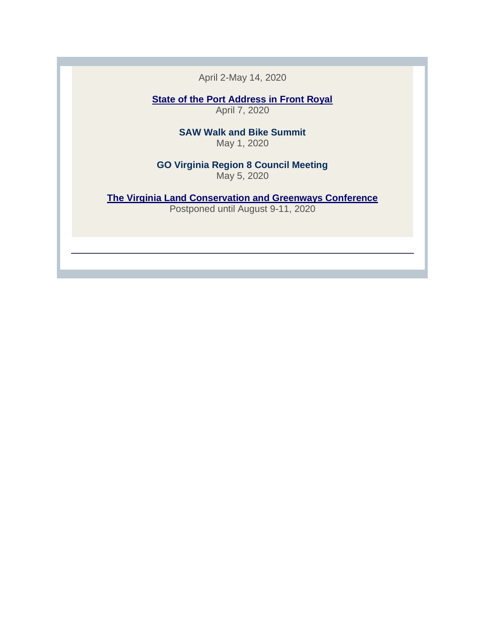April 2-May 14, 2020

**[State of the Port Address in Front Royal](http://r20.rs6.net/tn.jsp?f=001u14CVxR_WLkssbrqJ_StlxTYSge3Yr8Fj0kS_kFV97j2PVKzTYTddaNSxij0nlzUrf6xXvt0Qkpo9mZTAzNohbJWJ4IEFfIxtA56ux9FbHqVsR-itGrm839T9uht5isCFyD5uYVQBxJDQ20as4uZaW2CbF_JR2xTQwCBkWtfIMmnSbGZLbfmwiwPdHrBMmcu&c=wObtfo-6LOySwzeZvLjqhdQ0pdj-4GehPVIjC9P4xpVL8-HkaC3YKQ==&ch=qpj58eOfag4kslFFe5kuyWKpD-ggM45hLHG6lBTMM6IhMhl4k0rpAQ==)**

April 7, 2020

**SAW Walk and Bike Summit** May 1, 2020

**GO Virginia Region 8 Council Meeting**  May 5, 2020

**[The Virginia Land Conservation and Greenways Conference](http://r20.rs6.net/tn.jsp?f=001u14CVxR_WLkssbrqJ_StlxTYSge3Yr8Fj0kS_kFV97j2PVKzTYTddfxHL8UOGRAdPK4Y3tB9Y_RkLJKGHx8C-c5sb1TqJuNhCLu4NxGK2CB2a48CENLaW0zZEyHHuoXeT50xXqvafhuY9n0caNuvpP5GsBumHr-DUKSCqKgc2MxEHlhFcAXhvA==&c=wObtfo-6LOySwzeZvLjqhdQ0pdj-4GehPVIjC9P4xpVL8-HkaC3YKQ==&ch=qpj58eOfag4kslFFe5kuyWKpD-ggM45hLHG6lBTMM6IhMhl4k0rpAQ==)** Postponed until August 9-11, 2020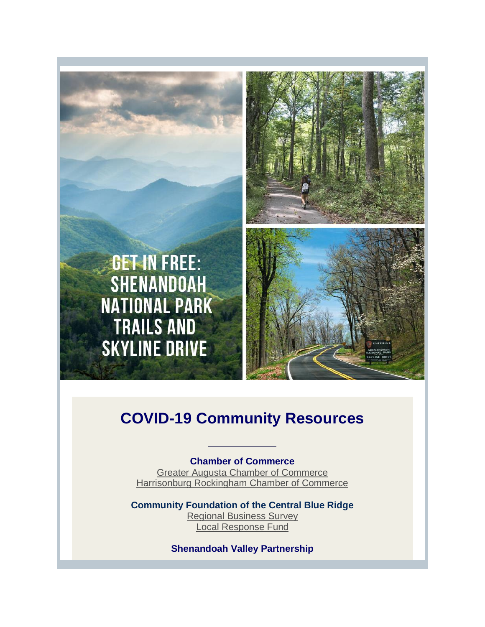

# **COVID-19 Community Resources**

**Chamber of Commerce**  [Greater Augusta Chamber of Commerce](http://r20.rs6.net/tn.jsp?f=001u14CVxR_WLkssbrqJ_StlxTYSge3Yr8Fj0kS_kFV97j2PVKzTYTddfxHL8UOGRAd1btaR0bRWwGrpxg7RLgF4X8daBIVo-Nsj_22KZaZyGxxOZyhjFueNqffCmt0VAZ28FB3hn4njHzqsEb2ptA98oe4kWpoZN2dqXtv0NMQ-uo=&c=wObtfo-6LOySwzeZvLjqhdQ0pdj-4GehPVIjC9P4xpVL8-HkaC3YKQ==&ch=qpj58eOfag4kslFFe5kuyWKpD-ggM45hLHG6lBTMM6IhMhl4k0rpAQ==) [Harrisonburg Rockingham Chamber of Commerce](http://r20.rs6.net/tn.jsp?f=001u14CVxR_WLkssbrqJ_StlxTYSge3Yr8Fj0kS_kFV97j2PVKzTYTddfxHL8UOGRAdivgBjGQczlHotoOVHFtO2GPbsio4KilDzoERCS7a0_6h9dqSmoEB484kMo0DSCBMO4dwykXsMsreDKAtJaA9tA==&c=wObtfo-6LOySwzeZvLjqhdQ0pdj-4GehPVIjC9P4xpVL8-HkaC3YKQ==&ch=qpj58eOfag4kslFFe5kuyWKpD-ggM45hLHG6lBTMM6IhMhl4k0rpAQ==)

**Community Foundation of the Central Blue Ridge** [Regional Business Survey](http://r20.rs6.net/tn.jsp?f=001u14CVxR_WLkssbrqJ_StlxTYSge3Yr8Fj0kS_kFV97j2PVKzTYTddfxHL8UOGRAdJYiliC739dmypimeBpdFW2yX-k-qZVK1RP8qNhdyylfjmvcUy_QnMKdZ9IfUy53DTpMzqhkribO4j6yva-_H3TsONrd5dBADU7XaY98Ar_IJiayDrzAIadmdW7plEtflgnvWbj8l_8cmcxlGWla5RaQ8kOkSuuDlFvLnxqH0_v_ZawqMck9KmTvfzDIo5eRP&c=wObtfo-6LOySwzeZvLjqhdQ0pdj-4GehPVIjC9P4xpVL8-HkaC3YKQ==&ch=qpj58eOfag4kslFFe5kuyWKpD-ggM45hLHG6lBTMM6IhMhl4k0rpAQ==)  [Local Response Fund](http://r20.rs6.net/tn.jsp?f=001u14CVxR_WLkssbrqJ_StlxTYSge3Yr8Fj0kS_kFV97j2PVKzTYTddfxHL8UOGRAdjlK_DIlSh1BAY0fi2AlePCrwVxLkFfCZG3vAo76bA5q4p1IzLHG4fLcX_WTsCKOftbutHp6YWLI=&c=wObtfo-6LOySwzeZvLjqhdQ0pdj-4GehPVIjC9P4xpVL8-HkaC3YKQ==&ch=qpj58eOfag4kslFFe5kuyWKpD-ggM45hLHG6lBTMM6IhMhl4k0rpAQ==)

**[Sh](http://r20.rs6.net/tn.jsp?f=001u14CVxR_WLkssbrqJ_StlxTYSge3Yr8Fj0kS_kFV97j2PVKzTYTddfxHL8UOGRAdD2LpqebjQ92det6HDmH1lKOZBm4umeMVWAeyCrL8C5k3lLkeVUr862I6cD3pNDkOKs74YI2JIoI=&c=wObtfo-6LOySwzeZvLjqhdQ0pdj-4GehPVIjC9P4xpVL8-HkaC3YKQ==&ch=qpj58eOfag4kslFFe5kuyWKpD-ggM45hLHG6lBTMM6IhMhl4k0rpAQ==)enandoah Valley Partnership**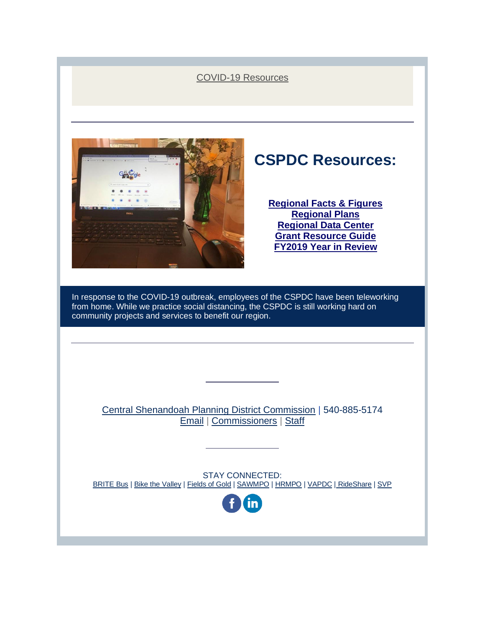### [COVID-19 Resources](http://r20.rs6.net/tn.jsp?f=001u14CVxR_WLkssbrqJ_StlxTYSge3Yr8Fj0kS_kFV97j2PVKzTYTddfxHL8UOGRAdyRdYUzGwRgaD2fyfgE6gL9q4MoRKgd9Y4rA33vIZ_9ZE7ifgDzjz9uRgWPzmrUTkmSDpSY64s5-DdD7fjy3xBBDM4NbqwwxrinQFl2DLBWJyXJIrfxdr1Q==&c=wObtfo-6LOySwzeZvLjqhdQ0pdj-4GehPVIjC9P4xpVL8-HkaC3YKQ==&ch=qpj58eOfag4kslFFe5kuyWKpD-ggM45hLHG6lBTMM6IhMhl4k0rpAQ==)



# **CSPDC Resources:**

**[Regional Facts & Figures](http://r20.rs6.net/tn.jsp?f=001u14CVxR_WLkssbrqJ_StlxTYSge3Yr8Fj0kS_kFV97j2PVKzTYTddYhorH5riTjVwUNytEyrQ3a5bqxaI0psKvdWVWSFAHtQep4c_rC7AKXyEPbsOz_Peu3xqqh3tIbPXzcHehhVfF4qQxcjORS3OnIe5cNSp-gL&c=wObtfo-6LOySwzeZvLjqhdQ0pdj-4GehPVIjC9P4xpVL8-HkaC3YKQ==&ch=qpj58eOfag4kslFFe5kuyWKpD-ggM45hLHG6lBTMM6IhMhl4k0rpAQ==)  [Regional Plans](http://r20.rs6.net/tn.jsp?f=001u14CVxR_WLkssbrqJ_StlxTYSge3Yr8Fj0kS_kFV97j2PVKzTYTddaNSxij0nlzUNLWIdC-XknXDq-XfQhRYkKv5wSxwhT47TDphlL7IYom9kCGmsafg5767amPkNaM5fMn5--P-Qes1X5XafryPsrby9rra1qFN&c=wObtfo-6LOySwzeZvLjqhdQ0pdj-4GehPVIjC9P4xpVL8-HkaC3YKQ==&ch=qpj58eOfag4kslFFe5kuyWKpD-ggM45hLHG6lBTMM6IhMhl4k0rpAQ==)  [Regional Data Center](http://r20.rs6.net/tn.jsp?f=001u14CVxR_WLkssbrqJ_StlxTYSge3Yr8Fj0kS_kFV97j2PVKzTYTddaNSxij0nlzUUwG5q86-swu4Wh3EInmg1vtQtPnTsI-YaQTxlk-Ep6e6ZsbVZlQgMpfB1oJkey-3PeXprzuIRUEFnGoSWOyIhOhwMV9ei4QP&c=wObtfo-6LOySwzeZvLjqhdQ0pdj-4GehPVIjC9P4xpVL8-HkaC3YKQ==&ch=qpj58eOfag4kslFFe5kuyWKpD-ggM45hLHG6lBTMM6IhMhl4k0rpAQ==) [Grant Resource Guide](http://r20.rs6.net/tn.jsp?f=001u14CVxR_WLkssbrqJ_StlxTYSge3Yr8Fj0kS_kFV97j2PVKzTYTddfxHL8UOGRAdkbvkpB3wqVWl1jGEadn8-TLY4PvjcW-d9zP8SJr_Th8P_ktjXZHxnZvdGyDodALMuYemsqy7OceAMA3e8BVD2Hlho8f3HTTphmyMbojvCHg=&c=wObtfo-6LOySwzeZvLjqhdQ0pdj-4GehPVIjC9P4xpVL8-HkaC3YKQ==&ch=qpj58eOfag4kslFFe5kuyWKpD-ggM45hLHG6lBTMM6IhMhl4k0rpAQ==) [FY2019 Year in Review](http://r20.rs6.net/tn.jsp?f=001u14CVxR_WLkssbrqJ_StlxTYSge3Yr8Fj0kS_kFV97j2PVKzTYTddZ3ImLBcDn9dvhRqqy9ufr7BN3ydbyz5eT1Wi66KpVBpci0UkTNYP3ApBAP-AgYSurFA45cRCyt6bXm4ZZnv7Ikyks9_egaKDSArZxXT8Sbe6JSKT2DYut-4EKKUG5r48rZPGJ16mzBhSHaXDZdEos5FnSIf7byzvf8O7CICgE_NthWw1u8roTo=&c=wObtfo-6LOySwzeZvLjqhdQ0pdj-4GehPVIjC9P4xpVL8-HkaC3YKQ==&ch=qpj58eOfag4kslFFe5kuyWKpD-ggM45hLHG6lBTMM6IhMhl4k0rpAQ==)**

In response to the COVID-19 outbreak, employees of the CSPDC have been teleworking from home. While we practice social distancing, the CSPDC is still working hard on community projects and services to benefit our region.

[Central Shenandoah Planning District Commission](http://r20.rs6.net/tn.jsp?f=001u14CVxR_WLkssbrqJ_StlxTYSge3Yr8Fj0kS_kFV97j2PVKzTYTddYWQGxerdyljHn9du1WrR4LIivOnhdrflCDHL9n3HCTDSmg_j0JLZYD3ADwngA4O9Q70dbF3tvxBwF22Dsg20lg-GCpEK9Tp8A==&c=wObtfo-6LOySwzeZvLjqhdQ0pdj-4GehPVIjC9P4xpVL8-HkaC3YKQ==&ch=qpj58eOfag4kslFFe5kuyWKpD-ggM45hLHG6lBTMM6IhMhl4k0rpAQ==) | 540-885-5174 [Email](mailto:kimberly@cspdc.org) | [Commissioners](http://r20.rs6.net/tn.jsp?f=001u14CVxR_WLkssbrqJ_StlxTYSge3Yr8Fj0kS_kFV97j2PVKzTYTddYhorH5riTjVhsrASlqcD5i_zZWcybYysspwupSks2U2c8n0fjCPOF30DXAnrPzkU5rbZYJOyNpDlkPB7RvcoeMkyd9Ujjfsh2y--ZZC6sC027wL_rAJnmW0wUpnn2Tx7A==&c=wObtfo-6LOySwzeZvLjqhdQ0pdj-4GehPVIjC9P4xpVL8-HkaC3YKQ==&ch=qpj58eOfag4kslFFe5kuyWKpD-ggM45hLHG6lBTMM6IhMhl4k0rpAQ==) | [Staff](http://r20.rs6.net/tn.jsp?f=001u14CVxR_WLkssbrqJ_StlxTYSge3Yr8Fj0kS_kFV97j2PVKzTYTddYhorH5riTjVhPdoWZo08n_r3SNxIrLob7jZsmYx0m4EeVIqozBvq5-6KHBmDQJUBbtpnTo7A5-gSB4po8Fl061JJ9JsrJyiYQszkeS91DVE6zpKaWvr5gsIBtYBIc4Rk2Y4IwYB0wgSxgWTGb6svh53MaIzGVcHNamOYSlkdEnuCn-w06_-sjGKMepyms3IpqBOvAV_n0VRfArgJXkctZwn31anlrVGVplakESHzJkPisx1GGJOWYE=&c=wObtfo-6LOySwzeZvLjqhdQ0pdj-4GehPVIjC9P4xpVL8-HkaC3YKQ==&ch=qpj58eOfag4kslFFe5kuyWKpD-ggM45hLHG6lBTMM6IhMhl4k0rpAQ==)

STAY CONNECTED: [BRITE Bus](http://r20.rs6.net/tn.jsp?f=001u14CVxR_WLkssbrqJ_StlxTYSge3Yr8Fj0kS_kFV97j2PVKzTYTddRCqi2EifmiKRXFiFBkLQ3rh__4L_O--WOnnlJeCjnh5kEwf0Gg447sBZas-utC3Vl083hZza5QHg3jvB9fc_cO7cK7yHHQB1Q==&c=wObtfo-6LOySwzeZvLjqhdQ0pdj-4GehPVIjC9P4xpVL8-HkaC3YKQ==&ch=qpj58eOfag4kslFFe5kuyWKpD-ggM45hLHG6lBTMM6IhMhl4k0rpAQ==) [| Bike the Valley](http://r20.rs6.net/tn.jsp?f=001u14CVxR_WLkssbrqJ_StlxTYSge3Yr8Fj0kS_kFV97j2PVKzTYTddeeHjT-CmzCNX8FSiX9tBDtngEeycYZkYjhwg1m5KtRKISHiuel2Xk1ybRAUWoyP-g2ilFmTjiUTQ5wkfD22awhKXwA6FQ0vmg==&c=wObtfo-6LOySwzeZvLjqhdQ0pdj-4GehPVIjC9P4xpVL8-HkaC3YKQ==&ch=qpj58eOfag4kslFFe5kuyWKpD-ggM45hLHG6lBTMM6IhMhl4k0rpAQ==) | [Fields of Gold](http://r20.rs6.net/tn.jsp?f=001u14CVxR_WLkssbrqJ_StlxTYSge3Yr8Fj0kS_kFV97j2PVKzTYTddYWQGxerdyljbAl55EBzNO2ftDdpmoM2H2ldUs9CQPCeoaOLOTf_xcSXhjBKrb6nyxIy78UUGuP2yJPZEStj-JW3YFmkTGEd7Q==&c=wObtfo-6LOySwzeZvLjqhdQ0pdj-4GehPVIjC9P4xpVL8-HkaC3YKQ==&ch=qpj58eOfag4kslFFe5kuyWKpD-ggM45hLHG6lBTMM6IhMhl4k0rpAQ==) | [SAWMPO](http://r20.rs6.net/tn.jsp?f=001u14CVxR_WLkssbrqJ_StlxTYSge3Yr8Fj0kS_kFV97j2PVKzTYTddeeHjT-CmzCNwJXrNIDiGYaGFm70ofZ7Z3dfy90vHU5lRcQHS7fGflXIovKtajpzZ7GOxIl7tu2JrzinbShrgwQpyWDlukBfHA==&c=wObtfo-6LOySwzeZvLjqhdQ0pdj-4GehPVIjC9P4xpVL8-HkaC3YKQ==&ch=qpj58eOfag4kslFFe5kuyWKpD-ggM45hLHG6lBTMM6IhMhl4k0rpAQ==) | [HRMPO](http://r20.rs6.net/tn.jsp?f=001u14CVxR_WLkssbrqJ_StlxTYSge3Yr8Fj0kS_kFV97j2PVKzTYTddVA6TlwHvVC4Fh9B0HXVgypO0FWkB797x_SRpNMsFTM8Z5Uas8ZEeVCNO-unXXqWm4Ni15awFadqXDfCnF1-HceJSwQ5TSc_Yw==&c=wObtfo-6LOySwzeZvLjqhdQ0pdj-4GehPVIjC9P4xpVL8-HkaC3YKQ==&ch=qpj58eOfag4kslFFe5kuyWKpD-ggM45hLHG6lBTMM6IhMhl4k0rpAQ==) [| VAPDC](http://r20.rs6.net/tn.jsp?f=001u14CVxR_WLkssbrqJ_StlxTYSge3Yr8Fj0kS_kFV97j2PVKzTYTddattNFl34TYrTwgkizixEzvCaAGhW7xG7fKwfeqrGDoKBrThwgSmiYRqTh9F44hBVH3hEZ7BMK7YcucHvbWbejc=&c=wObtfo-6LOySwzeZvLjqhdQ0pdj-4GehPVIjC9P4xpVL8-HkaC3YKQ==&ch=qpj58eOfag4kslFFe5kuyWKpD-ggM45hLHG6lBTMM6IhMhl4k0rpAQ==) | [RideShare](http://r20.rs6.net/tn.jsp?f=001u14CVxR_WLkssbrqJ_StlxTYSge3Yr8Fj0kS_kFV97j2PVKzTYTddeeHjT-CmzCNMTdxi_LNKInrqFQrU2CRrlCZWbazEwN0HDMpIaoSb6GcYj15vnoS7t-IgH03h6H7Fl1N8u1Nt8CeJ6f64_tnwA==&c=wObtfo-6LOySwzeZvLjqhdQ0pdj-4GehPVIjC9P4xpVL8-HkaC3YKQ==&ch=qpj58eOfag4kslFFe5kuyWKpD-ggM45hLHG6lBTMM6IhMhl4k0rpAQ==) [| SVP](http://r20.rs6.net/tn.jsp?f=001u14CVxR_WLkssbrqJ_StlxTYSge3Yr8Fj0kS_kFV97j2PVKzTYTddaNSxij0nlzUOFTmPngITurSLGpoKj5bJyErRw308dyVc7cVnWDVsyPj8KJYu2uqavi6A1qEvCoMoSO2Gvd-Ml7C-EQiW28Xr3yuXOVURVlj&c=wObtfo-6LOySwzeZvLjqhdQ0pdj-4GehPVIjC9P4xpVL8-HkaC3YKQ==&ch=qpj58eOfag4kslFFe5kuyWKpD-ggM45hLHG6lBTMM6IhMhl4k0rpAQ==)